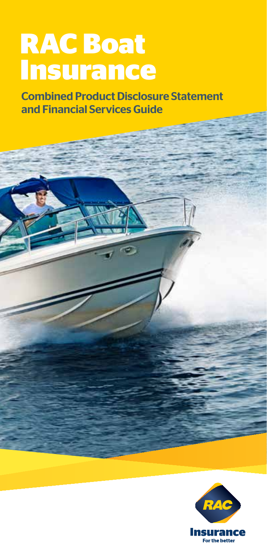# **RAC Boat Insurance**

Combined Product Disclosure Statement and Financial Services Guide

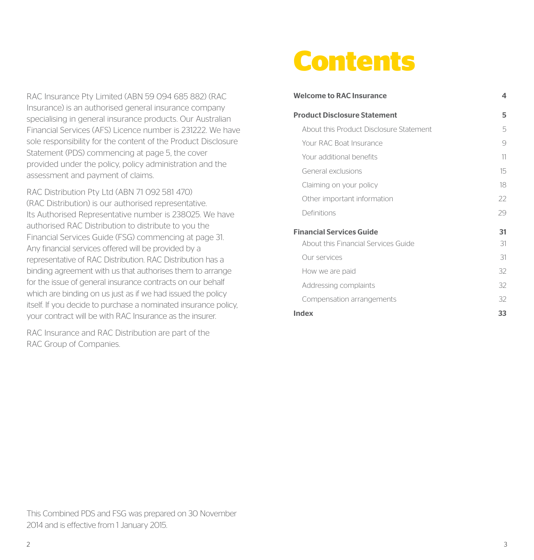RAC Insurance Pty Limited (ABN 59 094 685 882) (RAC Insurance) is an authorised general insurance company specialising in general insurance products. Our Australian Financial Services (AFS) Licence number is 231222. We have sole responsibility for the content of the Product Disclosure Statement (PDS) commencing at page 5, the cover provided under the policy, policy administration and the assessment and payment of claims.

RAC Distribution Pty Ltd (ABN 71 092 581 470) (RAC Distribution) is our authorised representative. Its Authorised Representative number is 238025. We have authorised RAC Distribution to distribute to you the Financial Services Guide (FSG) commencing at page 31. Any financial services offered will be provided by a representative of RAC Distribution. RAC Distribution has a binding agreement with us that authorises them to arrange for the issue of general insurance contracts on our behalf which are binding on us just as if we had issued the policy itself. If you decide to purchase a nominated insurance policy, your contract will be with RAC Insurance as the insurer.

RAC Insurance and RAC Distribution are part of the RAC Group of Companies.

# **Contents**

| <b>Welcome to RAC Insurance</b>         | 4  |
|-----------------------------------------|----|
| <b>Product Disclosure Statement</b>     | 5  |
| About this Product Disclosure Statement | 5  |
| Your RAC Boat Insurance                 | 9  |
| Your additional benefits                | 11 |
| General exclusions                      | 15 |
| Claiming on your policy                 | 18 |
| Other important information             | 22 |
| Definitions                             | 29 |
| <b>Financial Services Guide</b>         | 31 |
| About this Financial Services Guide     | 31 |
| Our services                            | 31 |
| How we are paid                         | 32 |
| Addressing complaints                   | 32 |
| Compensation arrangements               | 32 |
| Index                                   | 33 |

This Combined PDS and FSG was prepared on 30 November 2014 and is effective from 1 January 2015.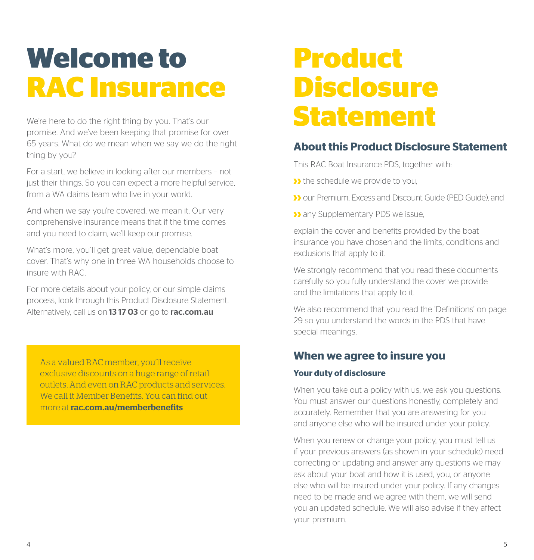# **Welcome to RAC Insurance**

We're here to do the right thing by you. That's our promise. And we've been keeping that promise for over 65 years. What do we mean when we say we do the right thing by you?

For a start, we believe in looking after our members – not just their things. So you can expect a more helpful service, from a WA claims team who live in your world.

And when we say you're covered, we mean it. Our very comprehensive insurance means that if the time comes and you need to claim, we'll keep our promise.

What's more, you'll get great value, dependable boat cover. That's why one in three WA households choose to insure with RAC.

For more details about your policy, or our simple claims process, look through this Product Disclosure Statement. Alternatively, call us on 1317 03 or go to rac.com.au

As a valued RAC member, you'll receive exclusive discounts on a huge range of retail outlets. And even on RAC products and services. We call it Member Benefits. You can find out more at rac.com.au/memberbenefits

# **Product Disclosure Statement**

## **About this Product Disclosure Statement**

This RAC Boat Insurance PDS, together with:

I the schedule we provide to you,

- **D** our Premium, Excess and Discount Guide (PED Guide), and
- **D** any Supplementary PDS we issue.

explain the cover and benefits provided by the boat insurance you have chosen and the limits, conditions and exclusions that apply to it.

We strongly recommend that you read these documents carefully so you fully understand the cover we provide and the limitations that apply to it.

We also recommend that you read the 'Definitions' on page 29 so you understand the words in the PDS that have special meanings.

### **When we agree to insure you**

#### **Your duty of disclosure**

When you take out a policy with us, we ask you questions. You must answer our questions honestly, completely and accurately. Remember that you are answering for you and anyone else who will be insured under your policy.

When you renew or change your policy, you must tell us if your previous answers (as shown in your schedule) need correcting or updating and answer any questions we may ask about your boat and how it is used, you, or anyone else who will be insured under your policy. If any changes need to be made and we agree with them, we will send you an updated schedule. We will also advise if they affect your premium.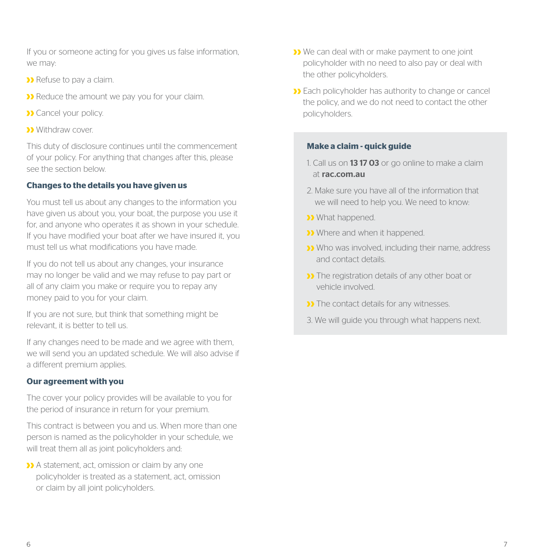If you or someone acting for you gives us false information, we may:

- **D** Refuse to pay a claim.
- **D** Reduce the amount we pay you for your claim.
- **>>** Cancel your policy.
- **Withdraw cover.**

This duty of disclosure continues until the commencement of your policy. For anything that changes after this, please see the section below.

#### **Changes to the details you have given us**

You must tell us about any changes to the information you have given us about you, your boat, the purpose you use it for, and anyone who operates it as shown in your schedule. If you have modified your boat after we have insured it, you must tell us what modifications you have made.

If you do not tell us about any changes, your insurance may no longer be valid and we may refuse to pay part or all of any claim you make or require you to repay any money paid to you for your claim.

If you are not sure, but think that something might be relevant, it is better to tell us.

If any changes need to be made and we agree with them, we will send you an updated schedule. We will also advise if a different premium applies.

#### **Our agreement with you**

The cover your policy provides will be available to you for the period of insurance in return for your premium.

This contract is between you and us. When more than one person is named as the policyholder in your schedule, we will treat them all as joint policyholders and:

A statement, act, omission or claim by any one policyholder is treated as a statement, act, omission or claim by all joint policyholders.

- **We can deal with or make payment to one joint** policyholder with no need to also pay or deal with the other policyholders.
- **Each policyholder has authority to change or cancel** the policy, and we do not need to contact the other policyholders.

#### **Make a claim - quick guide**

- 1. Call us on **13 17 03** or go online to make a claim at rac.com.au
- 2. Make sure you have all of the information that we will need to help you. We need to know:
- **What hannened.**
- **D** Where and when it happened.
- Who was involved, including their name, address and contact details.
- **D** The registration details of any other boat or vehicle involved.
- **D** The contact details for any witnesses.
- 3. We will guide you through what happens next.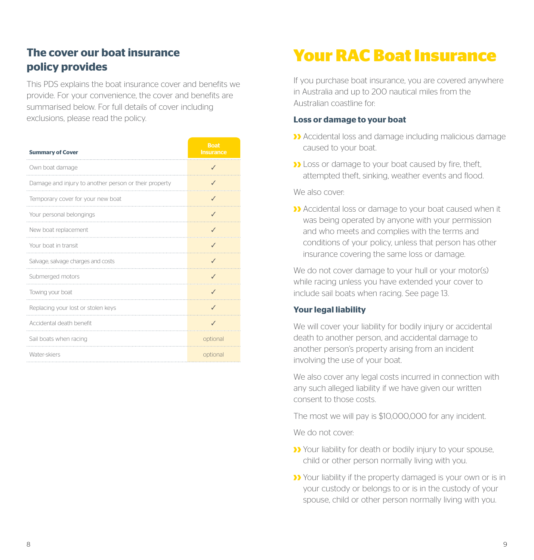## **The cover our boat insurance policy provides**

This PDS explains the boat insurance cover and benefits we provide. For your convenience, the cover and benefits are summarised below. For full details of cover including exclusions, please read the policy.

| <b>Summary of Cover</b>                               | <b>Boat</b><br><b>Insurance</b> |
|-------------------------------------------------------|---------------------------------|
| Own boat damage                                       |                                 |
| Damage and injury to another person or their property | $\checkmark$                    |
| Temporary cover for your new boat                     |                                 |
| Your personal belongings                              |                                 |
| New boat replacement                                  | $\checkmark$                    |
| Your boat in transit                                  | $\checkmark$                    |
| Salvage, salvage charges and costs                    | $\checkmark$                    |
| Submerged motors                                      | J                               |
| Towing your boat                                      |                                 |
| Replacing your lost or stolen keys                    | J                               |
| Accidental death benefit                              | J                               |
| Sail boats when racing                                | optional                        |
| Water-skiers                                          | optional                        |

## **Your RAC Boat Insurance**

If you purchase boat insurance, you are covered anywhere in Australia and up to 200 nautical miles from the Australian coastline for:

#### **Loss or damage to your boat**

- Accidental loss and damage including malicious damage caused to your boat.
- **D** Loss or damage to your boat caused by fire, theft, attempted theft, sinking, weather events and flood.

We also cover:

Accidental loss or damage to your boat caused when it was being operated by anyone with your permission and who meets and complies with the terms and conditions of your policy, unless that person has other insurance covering the same loss or damage.

We do not cover damage to your hull or your motor(s) while racing unless you have extended your cover to include sail boats when racing. See page 13.

#### **Your legal liability**

We will cover your liability for bodily injury or accidental death to another person, and accidental damage to another person's property arising from an incident involving the use of your boat.

We also cover any legal costs incurred in connection with any such alleged liability if we have given our written consent to those costs.

The most we will pay is \$10,000,000 for any incident.

We do not cover:

- **>>** Your liability for death or bodily injury to your spouse, child or other person normally living with you.
- **>>** Your liability if the property damaged is your own or is in your custody or belongs to or is in the custody of your spouse, child or other person normally living with you.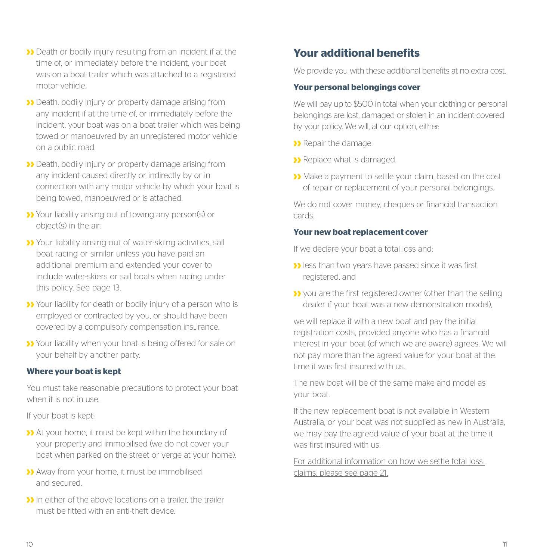- **Death or bodily injury resulting from an incident if at the** time of, or immediately before the incident, your boat was on a boat trailer which was attached to a registered motor vehicle.
- Death, bodily injury or property damage arising from any incident if at the time of, or immediately before the incident, your boat was on a boat trailer which was being towed or manoeuvred by an unregistered motor vehicle on a public road.
- Death, bodily injury or property damage arising from any incident caused directly or indirectly by or in connection with any motor vehicle by which your boat is being towed, manoeuvred or is attached.
- Your liability arising out of towing any person(s) or object(s) in the air.
- **>>** Your liability arising out of water-skiing activities, sail boat racing or similar unless you have paid an additional premium and extended your cover to include water-skiers or sail boats when racing under this policy. See page 13.
- **>>** Your liability for death or bodily injury of a person who is employed or contracted by you, or should have been covered by a compulsory compensation insurance.
- Your liability when your boat is being offered for sale on your behalf by another party.

#### **Where your boat is kept**

You must take reasonable precautions to protect your boat when it is not in use.

If your boat is kept:

- At your home, it must be kept within the boundary of your property and immobilised (we do not cover your boat when parked on the street or verge at your home).
- Away from your home, it must be immobilised and secured.
- In either of the above locations on a trailer, the trailer must be fitted with an anti-theft device.

## **Your additional benefits**

We provide you with these additional benefits at no extra cost.

#### **Your personal belongings cover**

We will pay up to \$500 in total when your clothing or personal belongings are lost, damaged or stolen in an incident covered by your policy. We will, at our option, either:

- **D** Repair the damage.
- **>>** Replace what is damaged.
- Make a payment to settle your claim, based on the cost of repair or replacement of your personal belongings.

We do not cover money, cheques or financial transaction cards.

#### **Your new boat replacement cover**

If we declare your boat a total loss and:

- **D** less than two years have passed since it was first registered, and
- **X** you are the first registered owner (other than the selling dealer if your boat was a new demonstration model),

we will replace it with a new boat and pay the initial registration costs, provided anyone who has a financial interest in your boat (of which we are aware) agrees. We will not pay more than the agreed value for your boat at the time it was first insured with us.

The new boat will be of the same make and model as your boat.

If the new replacement boat is not available in Western Australia, or your boat was not supplied as new in Australia, we may pay the agreed value of your boat at the time it was first insured with us.

For additional information on how we settle total loss claims, please see page 21.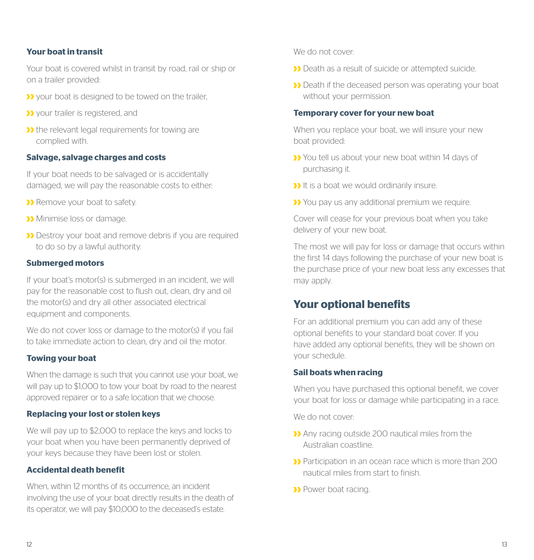#### **Your boat in transit**

Your boat is covered whilst in transit by road, rail or ship or on a trailer provided:

- **If** your boat is designed to be towed on the trailer.
- **>>** your trailer is registered, and
- **>>** the relevant legal requirements for towing are complied with.

#### **Salvage, salvage charges and costs**

If your boat needs to be salvaged or is accidentally damaged, we will pay the reasonable costs to either:

- **>>** Remove your boat to safety.
- **Minimise loss or damage.**
- Destroy your boat and remove debris if you are required to do so by a lawful authority.

#### **Submerged motors**

If your boat's motor(s) is submerged in an incident, we will pay for the reasonable cost to flush out, clean, dry and oil the motor(s) and dry all other associated electrical equipment and components.

We do not cover loss or damage to the motor(s) if you fail to take immediate action to clean, dry and oil the motor.

#### **Towing your boat**

When the damage is such that you cannot use your boat, we will pay up to \$1,000 to tow your boat by road to the nearest approved repairer or to a safe location that we choose.

#### **Replacing your lost or stolen keys**

We will pay up to \$2,000 to replace the keys and locks to your boat when you have been permanently deprived of your keys because they have been lost or stolen.

#### **Accidental death benefit**

When, within 12 months of its occurrence, an incident involving the use of your boat directly results in the death of its operator, we will pay \$10,000 to the deceased's estate.

We do not cover:

- Death as a result of suicide or attempted suicide.
- Death if the deceased person was operating your boat without your permission.

#### **Temporary cover for your new boat**

When you replace your boat, we will insure your new boat provided:

- **X** You tell us about your new boat within 14 days of purchasing it.
- **If** is a boat we would ordinarily insure.
- You pay us any additional premium we require.

Cover will cease for your previous boat when you take delivery of your new boat.

The most we will pay for loss or damage that occurs within the first 14 days following the purchase of your new boat is the purchase price of your new boat less any excesses that may apply.

### **Your optional benefits**

For an additional premium you can add any of these optional benefits to your standard boat cover. If you have added any optional benefits, they will be shown on your schedule.

#### **Sail boats when racing**

When you have purchased this optional benefit, we cover your boat for loss or damage while participating in a race.

We do not cover:

- Any racing outside 200 nautical miles from the Australian coastline.
- Participation in an ocean race which is more than 200 nautical miles from start to finish.
- >> Power boat racing.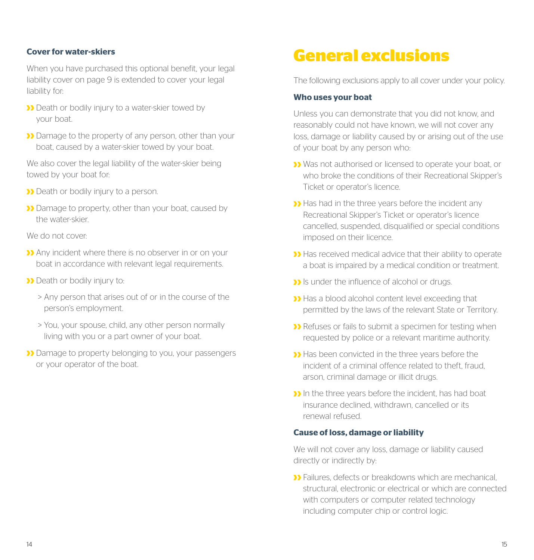#### **Cover for water-skiers**

When you have purchased this optional benefit, your legal liability cover on page 9 is extended to cover your legal liability for:

- **>>** Death or bodily injury to a water-skier towed by your boat.
- Demage to the property of any person, other than your boat, caused by a water-skier towed by your boat.

We also cover the legal liability of the water-skier being towed by your boat for:

- **D** Death or bodily injury to a person.
- **Damage to property, other than your boat, caused by** the water-skier.

We do not cover:

- Any incident where there is no observer in or on your boat in accordance with relevant legal requirements.
- **Death or bodily injury to:** 
	- > Any person that arises out of or in the course of the person's employment.
	- > You, your spouse, child, any other person normally living with you or a part owner of your boat.
- Damage to property belonging to you, your passengers or your operator of the boat.

## **General exclusions**

The following exclusions apply to all cover under your policy.

#### **Who uses your boat**

Unless you can demonstrate that you did not know, and reasonably could not have known, we will not cover any loss, damage or liability caused by or arising out of the use of your boat by any person who:

- Was not authorised or licensed to operate your boat, or who broke the conditions of their Recreational Skipper's Ticket or operator's licence.
- **D** Has had in the three years before the incident any Recreational Skipper's Ticket or operator's licence cancelled, suspended, disqualified or special conditions imposed on their licence.
- Has received medical advice that their ability to operate a boat is impaired by a medical condition or treatment.
- **If** is under the influence of alcohol or drugs.
- Has a blood alcohol content level exceeding that permitted by the laws of the relevant State or Territory.
- **D** Refuses or fails to submit a specimen for testing when requested by police or a relevant maritime authority.
- Has been convicted in the three years before the incident of a criminal offence related to theft, fraud, arson, criminal damage or illicit drugs.
- In the three years before the incident, has had boat insurance declined, withdrawn, cancelled or its renewal refused.

#### **Cause of loss, damage or liability**

We will not cover any loss, damage or liability caused directly or indirectly by:

**D** Failures, defects or breakdowns which are mechanical structural, electronic or electrical or which are connected with computers or computer related technology including computer chip or control logic.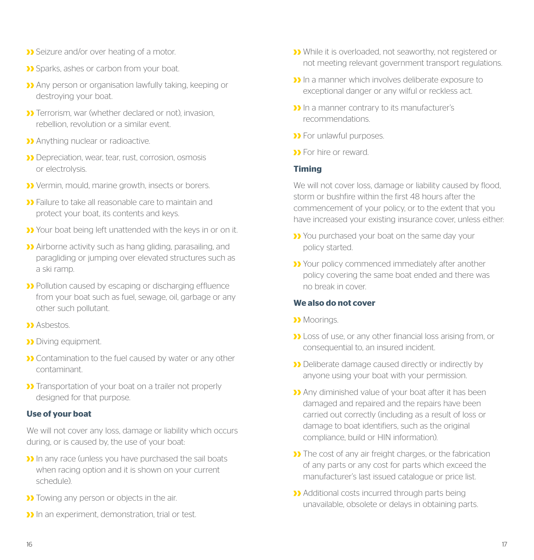- **>>** Seizure and/or over heating of a motor.
- Sparks, ashes or carbon from your boat.
- Any person or organisation lawfully taking, keeping or destroying your boat.
- **D** Terrorism, war (whether declared or not), invasion rebellion, revolution or a similar event.
- **>>** Anything nuclear or radioactive.
- **D** Depreciation, wear, tear, rust, corrosion, osmosis or electrolysis.
- Vermin, mould, marine growth, insects or borers.
- **>>** Failure to take all reasonable care to maintain and protect your boat, its contents and keys.
- Your boat being left unattended with the keys in or on it.
- Airborne activity such as hang gliding, parasailing, and paragliding or jumping over elevated structures such as a ski ramp.
- Pollution caused by escaping or discharging effluence from your boat such as fuel, sewage, oil, garbage or any other such pollutant.
- **M** Ashestos
- **Diving equipment.**
- **D** Contamination to the fuel caused by water or any other contaminant.
- **>>** Transportation of your boat on a trailer not properly designed for that purpose.

#### **Use of your boat**

We will not cover any loss, damage or liability which occurs during, or is caused by, the use of your boat:

- In any race (unless you have purchased the sail boats when racing option and it is shown on your current schedule).
- **D** Towing any person or objects in the air.
- **In** an experiment, demonstration, trial or test.
- While it is overloaded, not seaworthy, not registered or not meeting relevant government transport regulations.
- In a manner which involves deliberate exposure to exceptional danger or any wilful or reckless act.
- **I** In a manner contrary to its manufacturer's recommendations.
- **>>** For unlawful purposes.
- **S** For hire or reward.

#### **Timing**

We will not cover loss, damage or liability caused by flood. storm or bushfire within the first 48 hours after the commencement of your policy, or to the extent that you have increased your existing insurance cover, unless either:

- **>>** You purchased your boat on the same day your policy started.
- Your policy commenced immediately after another policy covering the same boat ended and there was no break in cover.

#### **We also do not cover**

- **Moorings**
- Loss of use, or any other financial loss arising from, or consequential to, an insured incident.
- **Deliberate damage caused directly or indirectly by** anyone using your boat with your permission.
- Any diminished value of your boat after it has been damaged and repaired and the repairs have been carried out correctly (including as a result of loss or damage to boat identifiers, such as the original compliance, build or HIN information).
- **>>** The cost of any air freight charges, or the fabrication of any parts or any cost for parts which exceed the manufacturer's last issued catalogue or price list.
- **Additional costs incurred through parts being** unavailable, obsolete or delays in obtaining parts.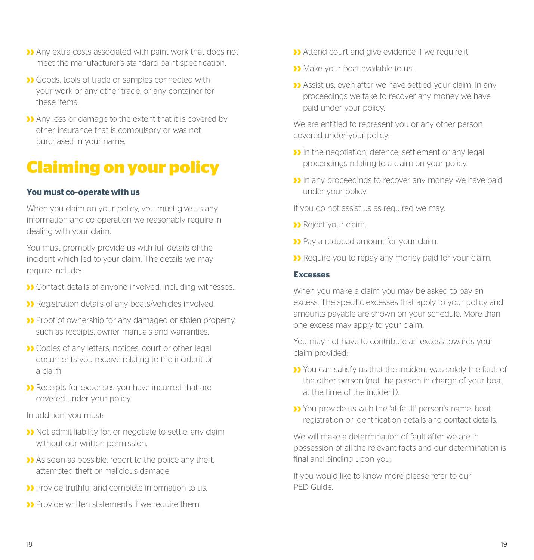- Any extra costs associated with paint work that does not meet the manufacturer's standard paint specification.
- Goods, tools of trade or samples connected with your work or any other trade, or any container for these items.
- Any loss or damage to the extent that it is covered by other insurance that is compulsory or was not purchased in your name.

## **Claiming on your policy**

#### **You must co-operate with us**

When you claim on your policy, you must give us any information and co-operation we reasonably require in dealing with your claim.

You must promptly provide us with full details of the incident which led to your claim. The details we may require include:

- Contact details of anyone involved, including witnesses.
- Registration details of any boats/vehicles involved.
- **>>** Proof of ownership for any damaged or stolen property, such as receipts, owner manuals and warranties.
- **D** Copies of any letters, notices, court or other legal documents you receive relating to the incident or a claim.
- **D** Receipts for expenses you have incurred that are covered under your policy.

In addition, you must:

- Not admit liability for, or negotiate to settle, any claim without our written permission.
- As soon as possible, report to the police any theft, attempted theft or malicious damage.
- **Provide truthful and complete information to us.**
- Provide written statements if we require them.
- **Attend court and give evidence if we require it.**
- **Make your boat available to us.**
- Assist us, even after we have settled your claim, in any proceedings we take to recover any money we have paid under your policy.

We are entitled to represent you or any other person covered under your policy:

- **If** in the negotiation, defence, settlement or any legal proceedings relating to a claim on your policy.
- **I)** In any proceedings to recover any money we have paid under your policy.

If you do not assist us as required we may:

- >> Reject your claim.
- **>>** Pay a reduced amount for your claim.
- **D** Require you to repay any money paid for your claim.

#### **Excesses**

When you make a claim you may be asked to pay an excess. The specific excesses that apply to your policy and amounts payable are shown on your schedule. More than one excess may apply to your claim.

You may not have to contribute an excess towards your claim provided:

- You can satisfy us that the incident was solely the fault of the other person (not the person in charge of your boat at the time of the incident).
- You provide us with the 'at fault' person's name, boat registration or identification details and contact details.

We will make a determination of fault after we are in possession of all the relevant facts and our determination is final and binding upon you.

If you would like to know more please refer to our PED Guide.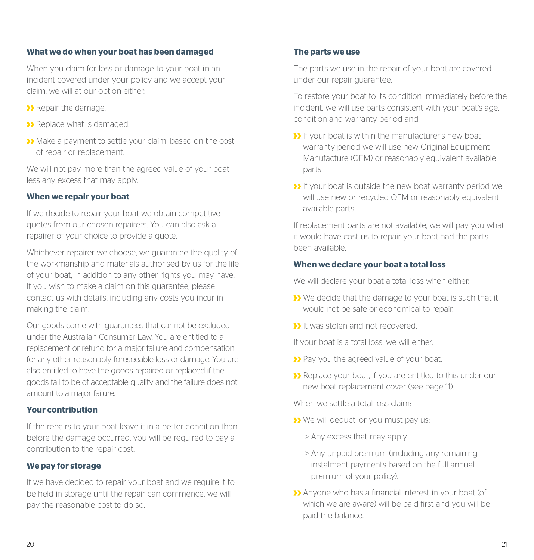#### **What we do when your boat has been damaged**

When you claim for loss or damage to your boat in an incident covered under your policy and we accept your claim, we will at our option either:

- **>>** Repair the damage.
- **>>** Replace what is damaged.
- Make a payment to settle your claim, based on the cost of repair or replacement.

We will not pay more than the agreed value of your boat less any excess that may apply.

#### **When we repair your boat**

If we decide to repair your boat we obtain competitive quotes from our chosen repairers. You can also ask a repairer of your choice to provide a quote.

Whichever repairer we choose, we guarantee the quality of the workmanship and materials authorised by us for the life of your boat, in addition to any other rights you may have. If you wish to make a claim on this guarantee, please contact us with details, including any costs you incur in making the claim.

Our goods come with guarantees that cannot be excluded under the Australian Consumer Law. You are entitled to a replacement or refund for a major failure and compensation for any other reasonably foreseeable loss or damage. You are also entitled to have the goods repaired or replaced if the goods fail to be of acceptable quality and the failure does not amount to a major failure.

#### **Your contribution**

If the repairs to your boat leave it in a better condition than before the damage occurred, you will be required to pay a contribution to the repair cost.

#### **We pay for storage**

If we have decided to repair your boat and we require it to be held in storage until the repair can commence, we will pay the reasonable cost to do so.

#### **The parts we use**

The parts we use in the repair of your boat are covered under our repair guarantee.

To restore your boat to its condition immediately before the incident, we will use parts consistent with your boat's age, condition and warranty period and:

- **If** your boat is within the manufacturer's new boat warranty period we will use new Original Equipment Manufacture (OEM) or reasonably equivalent available parts.
- **If** your boat is outside the new boat warranty period we will use new or recycled OEM or reasonably equivalent available parts.

If replacement parts are not available, we will pay you what it would have cost us to repair your boat had the parts been available.

#### **When we declare your boat a total loss**

We will declare your boat a total loss when either:

- **D** We decide that the damage to your boat is such that it would not be safe or economical to repair.
- **If** was stolen and not recovered.

If your boat is a total loss, we will either:

- **>>** Pay you the agreed value of your boat.
- **>>** Replace your boat, if you are entitled to this under our new boat replacement cover (see page 11).

When we settle a total loss claim:

- **>>** We will deduct, or you must pay us:
	- > Any excess that may apply.
	- > Any unpaid premium (including any remaining instalment payments based on the full annual premium of your policy).
- Anyone who has a financial interest in your boat (of which we are aware) will be paid first and you will be paid the balance.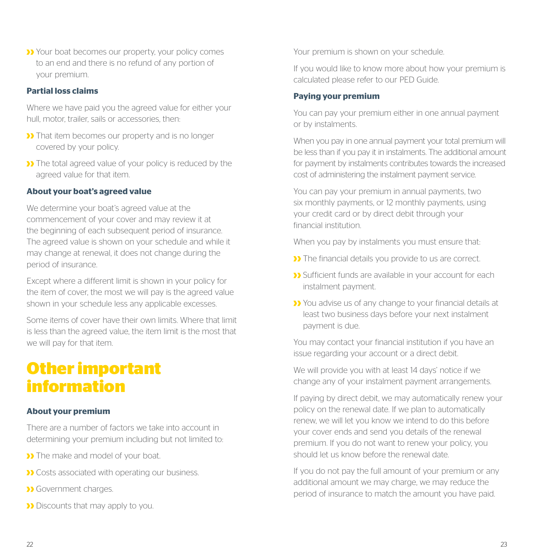Your boat becomes our property, your policy comes to an end and there is no refund of any portion of your premium.

#### **Partial loss claims**

Where we have paid you the agreed value for either your hull, motor, trailer, sails or accessories, then:

- **>>** That item becomes our property and is no longer covered by your policy.
- **D** The total agreed value of your policy is reduced by the agreed value for that item.

#### **About your boat's agreed value**

We determine your boat's agreed value at the commencement of your cover and may review it at the beginning of each subsequent period of insurance. The agreed value is shown on your schedule and while it may change at renewal, it does not change during the period of insurance.

Except where a different limit is shown in your policy for the item of cover, the most we will pay is the agreed value shown in your schedule less any applicable excesses.

Some items of cover have their own limits. Where that limit is less than the agreed value, the item limit is the most that we will pay for that item.

## **Other important information**

#### **About your premium**

There are a number of factors we take into account in determining your premium including but not limited to:

- **D** The make and model of your boat.
- **D** Costs associated with operating our business.
- **>>** Government charges.
- **Discounts that may apply to you.**

Your premium is shown on your schedule.

If you would like to know more about how your premium is calculated please refer to our PED Guide.

#### **Paying your premium**

You can pay your premium either in one annual payment or by instalments.

When you pay in one annual payment your total premium will be less than if you pay it in instalments. The additional amount for payment by instalments contributes towards the increased cost of administering the instalment payment service.

You can pay your premium in annual payments, two six monthly payments, or 12 monthly payments, using your credit card or by direct debit through your financial institution.

When you pay by instalments you must ensure that:

- **D** The financial details you provide to us are correct.
- **>>** Sufficient funds are available in your account for each instalment payment.
- You advise us of any change to your financial details at least two business days before your next instalment payment is due.

You may contact your financial institution if you have an issue regarding your account or a direct debit.

We will provide you with at least 14 days' notice if we change any of your instalment payment arrangements.

If paying by direct debit, we may automatically renew your policy on the renewal date. If we plan to automatically renew, we will let you know we intend to do this before your cover ends and send you details of the renewal premium. If you do not want to renew your policy, you should let us know before the renewal date.

If you do not pay the full amount of your premium or any additional amount we may charge, we may reduce the period of insurance to match the amount you have paid.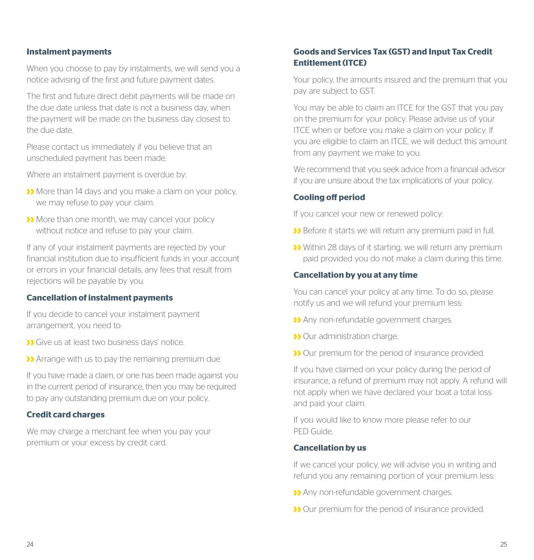#### **Instalment payments**

When you choose to pay by instalments, we will send you a notice advising of the first and future payment dates.

The first and future direct debit payments will be made on the due date unless that date is not a business day, when the payment will be made on the business day closest to the due date.

Please contact us immediately if you believe that an unscheduled payment has been made.

Where an instalment payment is overdue by:

- More than 14 days and you make a claim on your policy, we may refuse to pay your claim.
- More than one month, we may cancel your policy without notice and refuse to pay your claim.

If any of your instalment payments are rejected by your financial institution due to insufficient funds in your account or errors in your financial details, any fees that result from rejections will be payable by you.

#### **Cancellation of instalment payments**

If you decide to cancel your instalment payment arrangement, you need to:

- **D** Give us at least two business days' notice.
- Arrange with us to pay the remaining premium due.

If you have made a claim, or one has been made against you in the current period of insurance, then you may be required to pay any outstanding premium due on your policy.

#### **Credit card charges**

We may charge a merchant fee when you pay your premium or your excess by credit card.

#### **Goods and Services Tax (GST) and Input Tax Credit Entitlement (ITCE)**

Your policy, the amounts insured and the premium that you pay are subject to GST.

You may be able to claim an ITCE for the GST that you pay on the premium for your policy. Please advise us of your ITCE when or before you make a claim on your policy. If you are eligible to claim an ITCE, we will deduct this amount from any payment we make to you.

We recommend that you seek advice from a financial advisor if you are unsure about the tax implications of your policy.

#### **Cooling off period**

If you cancel your new or renewed policy:

- **D** Before it starts we will return any premium paid in full.
- Within 28 days of it starting, we will return any premium paid provided you do not make a claim during this time.

#### **Cancellation by you at any time**

You can cancel your policy at any time. To do so, please notify us and we will refund your premium less:

- Any non-refundable government charges.
- **D** Our administration charge.
- **>>** Our premium for the period of insurance provided.

If you have claimed on your policy during the period of insurance, a refund of premium may not apply. A refund will not apply when we have declared your boat a total loss and paid your claim.

If you would like to know more please refer to our PED Guide.

#### **Cancellation by us**

If we cancel your policy, we will advise you in writing and refund you any remaining portion of your premium less:

- Any non-refundable government charges.
- **>>** Our premium for the period of insurance provided.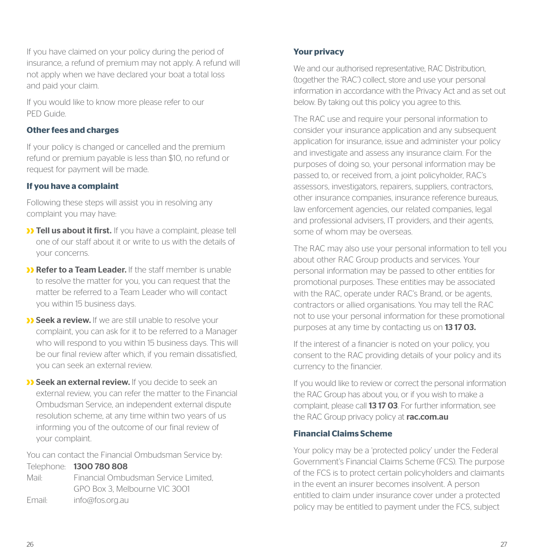If you have claimed on your policy during the period of insurance, a refund of premium may not apply. A refund will not apply when we have declared your boat a total loss and paid your claim.

If you would like to know more please refer to our PED Guide.

#### **Other fees and charges**

If your policy is changed or cancelled and the premium refund or premium payable is less than \$10, no refund or request for payment will be made.

#### **If you have a complaint**

Following these steps will assist you in resolving any complaint you may have:

- **>> Tell us about it first.** If you have a complaint, please tell one of our staff about it or write to us with the details of your concerns.
- **>> Refer to a Team Leader.** If the staff member is unable to resolve the matter for you, you can request that the matter be referred to a Team Leader who will contact you within 15 business days.
- **>> Seek a review.** If we are still unable to resolve your complaint, you can ask for it to be referred to a Manager who will respond to you within 15 business days. This will be our final review after which, if you remain dissatisfied, you can seek an external review.
- **>> Seek an external review.** If you decide to seek an external review, you can refer the matter to the Financial Ombudsman Service, an independent external dispute resolution scheme, at any time within two years of us informing you of the outcome of our final review of your complaint.

You can contact the Financial Ombudsman Service by:

Telephone: 1300 780 808 Mail: Financial Ombudsman Service Limited, GPO Box 3, Melbourne VIC 3001 Email: info@fos.org.au

#### **Your privacy**

We and our authorised representative, RAC Distribution, (together the 'RAC') collect, store and use your personal information in accordance with the Privacy Act and as set out below. By taking out this policy you agree to this.

The RAC use and require your personal information to consider your insurance application and any subsequent application for insurance, issue and administer your policy and investigate and assess any insurance claim. For the purposes of doing so, your personal information may be passed to, or received from, a joint policyholder, RAC's assessors, investigators, repairers, suppliers, contractors, other insurance companies, insurance reference bureaus, law enforcement agencies, our related companies, legal and professional advisers, IT providers, and their agents, some of whom may be overseas.

The RAC may also use your personal information to tell you about other RAC Group products and services. Your personal information may be passed to other entities for promotional purposes. These entities may be associated with the RAC, operate under RAC's Brand, or be agents contractors or allied organisations. You may tell the RAC not to use your personal information for these promotional purposes at any time by contacting us on 1317 03.

If the interest of a financier is noted on your policy, you consent to the RAC providing details of your policy and its currency to the financier.

If you would like to review or correct the personal information the RAC Group has about you, or if you wish to make a complaint, please call **13 17 03**. For further information, see the RAC Group privacy policy at rac.com.au

#### **Financial Claims Scheme**

Your policy may be a 'protected policy' under the Federal Government's Financial Claims Scheme (FCS). The purpose of the FCS is to protect certain policyholders and claimants in the event an insurer becomes insolvent. A person entitled to claim under insurance cover under a protected policy may be entitled to payment under the FCS, subject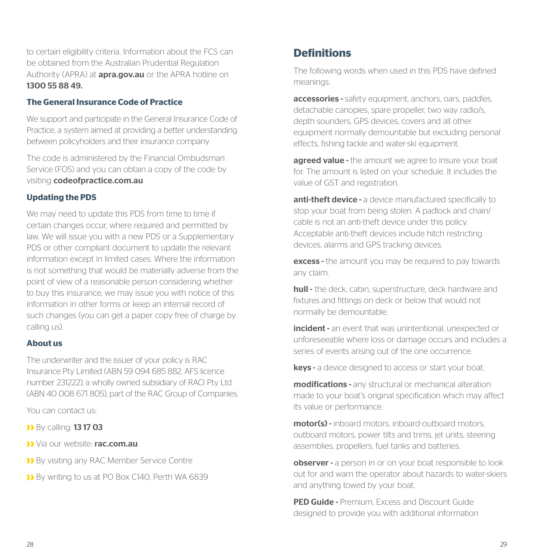to certain eligibility criteria. Information about the FCS can be obtained from the Australian Prudential Regulation Authority (APRA) at **apra.gov.au** or the APRA hotline on 1300 55 88 49.

#### **The General Insurance Code of Practice**

We support and participate in the General Insurance Code of Practice, a system aimed at providing a better understanding between policyholders and their insurance company.

The code is administered by the Financial Ombudsman Service (FOS) and you can obtain a copy of the code by visiting codeofpractice.com.au

#### **Updating the PDS**

We may need to update this PDS from time to time if certain changes occur, where required and permitted by law. We will issue you with a new PDS or a Supplementary PDS or other compliant document to update the relevant information except in limited cases. Where the information is not something that would be materially adverse from the point of view of a reasonable person considering whether to buy this insurance, we may issue you with notice of this information in other forms or keep an internal record of such changes (you can get a paper copy free of charge by calling us).

#### **About us**

The underwriter and the issuer of your policy is RAC Insurance Pty Limited (ABN 59 094 685 882, AFS licence number 231222), a wholly owned subsidiary of RACI Pty Ltd (ABN 40 008 671 805), part of the RAC Group of Companies.

You can contact us:

- **>>** By calling: **13 17 03**
- Via our website: rac.com.au
- **D** By visiting any RAC Member Service Centre
- By writing to us at PO Box C140, Perth WA 6839

## **Definitions**

The following words when used in this PDS have defined meanings.

accessories - safety equipment, anchors, oars, paddles, detachable canopies, spare propeller, two way radio/s, depth sounders, GPS devices, covers and all other equipment normally demountable but excluding personal effects, fishing tackle and water-ski equipment.

agreed value - the amount we agree to insure your boat for. The amount is listed on your schedule. It includes the value of GST and registration.

anti-theft device - a device manufactured specifically to stop your boat from being stolen. A padlock and chain/ cable is not an anti-theft device under this policy. Acceptable anti-theft devices include hitch restricting devices, alarms and GPS tracking devices.

excess - the amount you may be required to pay towards any claim.

hull - the deck, cabin, superstructure, deck hardware and fixtures and fittings on deck or below that would not normally be demountable.

incident - an event that was unintentional, unexpected or unforeseeable where loss or damage occurs and includes a series of events arising out of the one occurrence.

keys - a device designed to access or start your boat.

modifications - any structural or mechanical alteration made to your boat's original specification which may affect its value or performance.

motor(s) - inboard motors, inboard-outboard motors outboard motors, power tilts and trims, jet units, steering assemblies, propellers, fuel tanks and batteries.

observer - a person in or on your boat responsible to look out for and warn the operator about hazards to water-skiers and anything towed by your boat.

PED Guide - Premium, Excess and Discount Guide designed to provide you with additional information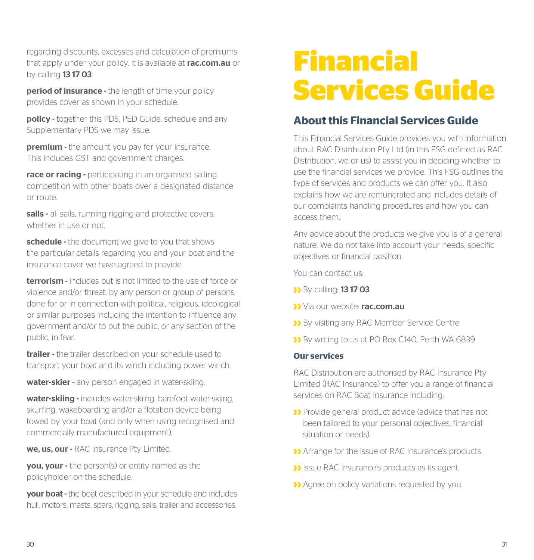regarding discounts, excesses and calculation of premiums that apply under your policy. It is available at rac.com.au or by calling **13 17 03**.

**period of insurance -** the length of time your policy provides cover as shown in your schedule.

policy - together this PDS, PED Guide, schedule and any Supplementary PDS we may issue.

**premium -** the amount you pay for your insurance. This includes GST and government charges.

race or racing - participating in an organised sailing competition with other boats over a designated distance or route.

sails - all sails, running rigging and protective covers, whether in use or not.

schedule - the document we give to you that shows the particular details regarding you and your boat and the insurance cover we have agreed to provide.

terrorism - includes but is not limited to the use of force or violence and/or threat, by any person or group of persons done for or in connection with political, religious, ideological or similar purposes including the intention to influence any government and/or to put the public, or any section of the public, in fear.

trailer - the trailer described on your schedule used to transport your boat and its winch including power winch.

water-skier - any person engaged in water-skiing.

water-skiing - includes water-skiing, barefoot water-skiing, skurfing, wakeboarding and/or a flotation device being towed by your boat (and only when using recognised and commercially manufactured equipment).

we. us. our - RAC Insurance Pty Limited.

**vou, your -** the person(s) or entity named as the policyholder on the schedule.

**your boat -** the boat described in your schedule and includes hull, motors, masts, spars, rigging, sails, trailer and accessories.

# **Financial Services Guide**

## **About this Financial Services Guide**

This Financial Services Guide provides you with information about RAC Distribution Pty Ltd (in this FSG defined as RAC Distribution, we or us) to assist you in deciding whether to use the financial services we provide. This FSG outlines the type of services and products we can offer you. It also explains how we are remunerated and includes details of our complaints handling procedures and how you can access them.

Any advice about the products we give you is of a general nature. We do not take into account your needs, specific objectives or financial position.

You can contact us:

- **By calling: 13 17 03**
- Via our website: rac.com.au
- By visiting any RAC Member Service Centre
- By writing to us at PO Box C140, Perth WA 6839

#### **Our services**

RAC Distribution are authorised by RAC Insurance Pty Limited (RAC Insurance) to offer you a range of financial services on RAC Boat Insurance including:

- Provide general product advice (advice that has not been tailored to your personal objectives, financial situation or needs).
- Arrange for the issue of RAC Insurance's products.
- **I** Issue RAC Insurance's products as its agent.
- **>>** Agree on policy variations requested by you.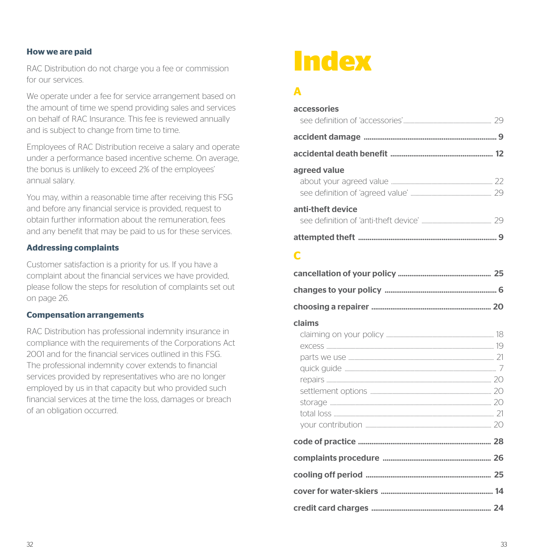#### **How we are paid**

RAC Distribution do not charge you a fee or commission for our services.

We operate under a fee for service arrangement based on the amount of time we spend providing sales and services on behalf of RAC Insurance. This fee is reviewed annually and is subject to change from time to time.

Employees of RAC Distribution receive a salary and operate under a performance based incentive scheme. On average, the bonus is unlikely to exceed 2% of the employees' annual salary.

You may, within a reasonable time after receiving this FSG and before any financial service is provided, request to obtain further information about the remuneration, fees and any benefit that may be paid to us for these services.

#### **Addressing complaints**

Customer satisfaction is a priority for us. If you have a complaint about the financial services we have provided, please follow the steps for resolution of complaints set out on page 26.

#### **Compensation arrangements**

RAC Distribution has professional indemnity insurance in compliance with the requirements of the Corporations Act 2001 and for the financial services outlined in this FSG. The professional indemnity cover extends to financial services provided by representatives who are no longer employed by us in that capacity but who provided such financial services at the time the loss, damages or breach of an obligation occurred.

## **Index**

### **A**

| accessories       |  |
|-------------------|--|
|                   |  |
|                   |  |
| agreed value      |  |
| anti-theft device |  |
|                   |  |

#### **C**

|--|--|--|

#### claims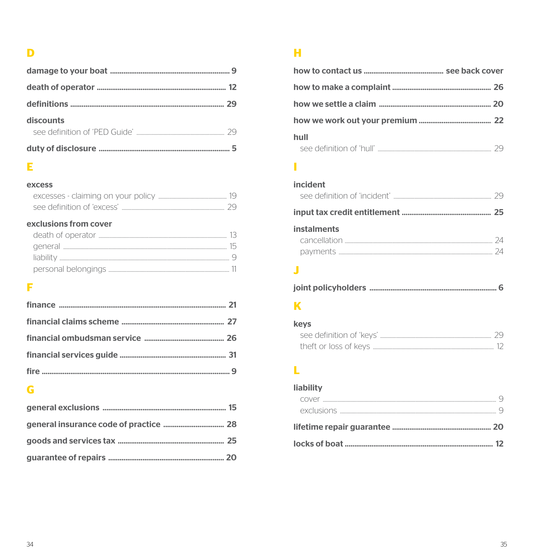## $\overline{\mathbf{D}}$

| discounts<br>see definition of 'PED Guide' and the contract of the 29 |  |
|-----------------------------------------------------------------------|--|
|                                                                       |  |

## $\mathsf{E}% _{0}\left( t\right) \equiv\mathsf{E}_{\mathrm{H}}\left( t\right)$

#### excess

| see definition of 'excess' |  |
|----------------------------|--|

### exclusions from cover

## F

## $\overline{\mathbf{G}}$

## $\mathbf H$

| hull |  |
|------|--|
|      |  |

## Î.

| incident           |  |
|--------------------|--|
|                    |  |
|                    |  |
| <b>instalments</b> |  |
|                    |  |
|                    |  |

## Ĵ

|--|--|--|

## $\mathbf K$

| keys                  |  |
|-----------------------|--|
|                       |  |
| theft or loss of keys |  |

## $\mathbf{L}$

## liability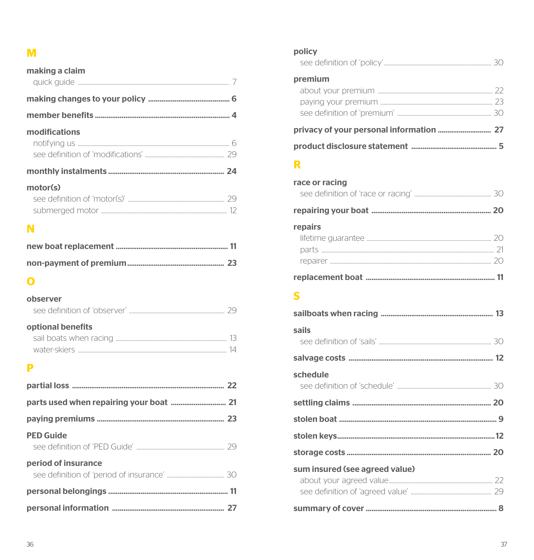## $\mathbf M$

| making a claim |  |
|----------------|--|
|                |  |
|                |  |
| modifications  |  |
|                |  |
| motor(s)       |  |
| N              |  |
|                |  |
|                |  |

## $\overline{O}$

#### observer

| optional benefits      |  |
|------------------------|--|
| sail boats when racing |  |

## 

#### $\mathbf{P}$

| <b>PED Guide</b>    |  |
|---------------------|--|
| period of insurance |  |
|                     |  |
|                     |  |

#### policy

## $\mathbf R$

| race or racing |  |
|----------------|--|
|                |  |
| repairs        |  |
|                |  |
|                |  |
|                |  |
|                |  |

## $\overline{\mathbf{s}}$

| sails                          |  |
|--------------------------------|--|
|                                |  |
| schedule                       |  |
|                                |  |
|                                |  |
|                                |  |
|                                |  |
| sum insured (see agreed value) |  |
|                                |  |
|                                |  |
|                                |  |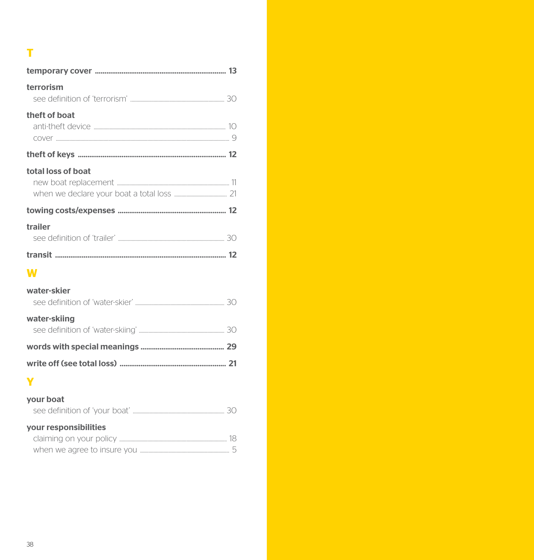## $\mathbf T$

| terrorism          |  |
|--------------------|--|
| theft of boat      |  |
|                    |  |
| total loss of boat |  |
|                    |  |
| trailer            |  |
|                    |  |
|                    |  |

## W

| water-skiing |  |
|--------------|--|
| water-skier  |  |

## Ÿ

#### your boat

|                         | 30 |
|-------------------------|----|
| your responsibilities   |    |
| claiming on your policy |    |